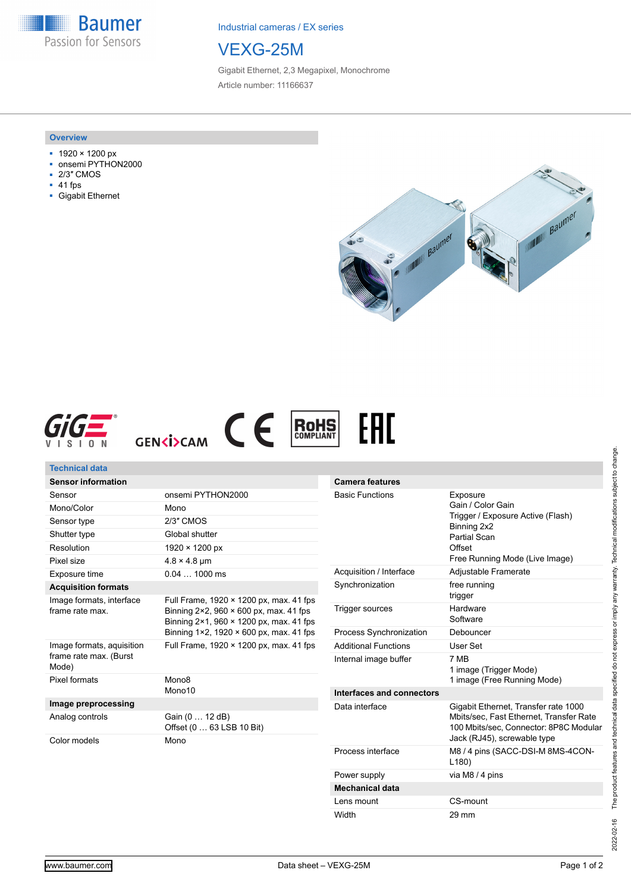**Baumer** Passion for Sensors

Industrial cameras / EX series

## VEXG-25M

Gigabit Ethernet, 2,3 Megapixel, Monochrome Article number: 11166637

### **Overview**

- 1920 × 1200 px
- onsemi PYTHON2000
- 2/3″ CMOS
- 41 fps
- Gigabit Ethernet







| Technical data                                                                                                                                          |                                                                                                                                                                                          |                                |                                                                                                                           |
|---------------------------------------------------------------------------------------------------------------------------------------------------------|------------------------------------------------------------------------------------------------------------------------------------------------------------------------------------------|--------------------------------|---------------------------------------------------------------------------------------------------------------------------|
| <b>Sensor information</b>                                                                                                                               |                                                                                                                                                                                          | <b>Camera features</b>         |                                                                                                                           |
| Sensor                                                                                                                                                  | onsemi PYTHON2000                                                                                                                                                                        | <b>Basic Functions</b>         | Exposure<br>Gain / Color Gain<br>Trigger / Exposure Active (Flash)<br>Binning 2x2<br><b>Partial Scan</b><br>Offset        |
| Mono/Color                                                                                                                                              | Mono                                                                                                                                                                                     |                                |                                                                                                                           |
| Sensor type                                                                                                                                             | 2/3" CMOS                                                                                                                                                                                |                                |                                                                                                                           |
| Shutter type                                                                                                                                            | Global shutter                                                                                                                                                                           |                                |                                                                                                                           |
| Resolution                                                                                                                                              | $1920 \times 1200 \text{ px}$                                                                                                                                                            |                                |                                                                                                                           |
| Pixel size                                                                                                                                              | $4.8 \times 4.8$ µm                                                                                                                                                                      |                                | Free Running Mode (Live Image)                                                                                            |
| Exposure time                                                                                                                                           | $0.041000$ ms                                                                                                                                                                            | Acquisition / Interface        | Adjustable Framerate                                                                                                      |
| <b>Acquisition formats</b>                                                                                                                              |                                                                                                                                                                                          | Synchronization                | free running<br>trigger                                                                                                   |
| Image formats, interface<br>frame rate max.                                                                                                             | Full Frame, 1920 × 1200 px, max. 41 fps<br>Binning $2 \times 2$ , 960 $\times$ 600 px, max. 41 fps<br>Binning 2×1, 960 × 1200 px, max. 41 fps<br>Binning 1×2, 1920 × 600 px, max. 41 fps | Trigger sources                | Hardware<br>Software                                                                                                      |
|                                                                                                                                                         |                                                                                                                                                                                          | Process Synchronization        | Debouncer                                                                                                                 |
| Full Frame, 1920 × 1200 px, max. 41 fps<br>Image formats, aquisition<br>frame rate max. (Burst<br>Mode)<br>Pixel formats<br>Mono <sub>8</sub><br>Mono10 |                                                                                                                                                                                          | <b>Additional Functions</b>    | User Set                                                                                                                  |
|                                                                                                                                                         | Internal image buffer                                                                                                                                                                    | 7 MB<br>1 image (Trigger Mode) |                                                                                                                           |
|                                                                                                                                                         |                                                                                                                                                                                          |                                | 1 image (Free Running Mode)                                                                                               |
|                                                                                                                                                         |                                                                                                                                                                                          | Interfaces and connectors      |                                                                                                                           |
| Image preprocessing<br>Analog controls                                                                                                                  | Gain (0  12 dB)<br>Offset (0  63 LSB 10 Bit)                                                                                                                                             | Data interface                 | Gigabit Ethernet, Transfer rate 1000<br>Mbits/sec, Fast Ethernet, Transfer Rate<br>100 Mbits/sec, Connector: 8P8C Modular |
| Color models                                                                                                                                            | Mono                                                                                                                                                                                     |                                | Jack (RJ45), screwable type                                                                                               |
|                                                                                                                                                         |                                                                                                                                                                                          | Process interface              | M8 / 4 pins (SACC-DSI-M 8MS-4CON-<br>L180                                                                                 |
|                                                                                                                                                         |                                                                                                                                                                                          | Power supply                   | via M8 / 4 pins                                                                                                           |

**Mechanical data**

Lens mount CS-mount Width 29 mm